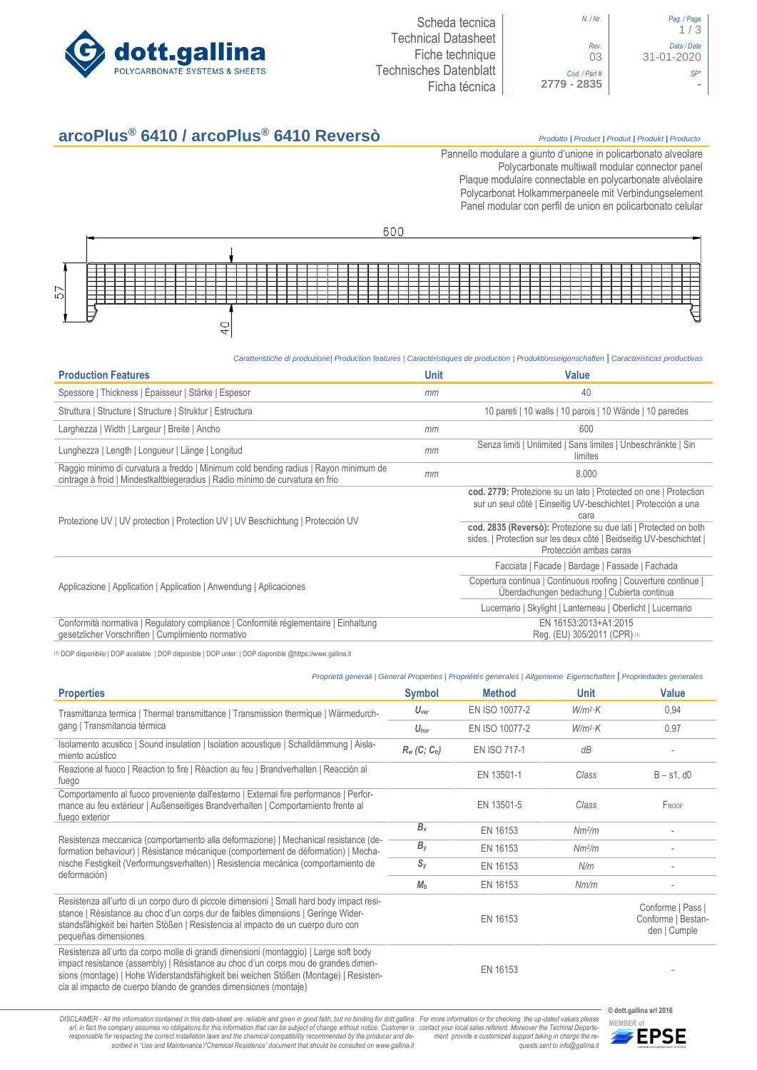

| Pag. / Page<br>1/3        |
|---------------------------|
| Data / Date<br>31-01-2020 |
|                           |
|                           |

# **arcoPlus® 6410 / arcoPlus® 6410 Reversò** *Prodotto <sup>|</sup> Product <sup>|</sup> Produit <sup>|</sup> Produkt <sup>|</sup> Producto*

Pannello modulare a giunto d'unione in policarbonato alveolare Polycarbonate multiwall modular connector panel Plaque modulaire connectable en polycarbonate alvéolaire Polycarbonat Holkammerpaneele mit Verbindungselement Panel [modular con perfil de union en](http://www.google.it/url?sa=t&rct=j&q=&esrc=s&source=web&cd=6&ved=0ahUKEwiPyOW6w_3PAhXLORoKHXbkAhUQFggtMAU&url=http%3A%2F%2Fwww.getsl.com%2Fes%2Fmateriales-construccion%2Fsabic-policarbonato%2Fplaca-solida%2Flexan-exell-d-placa-translucida%2F&usg=AFQjCNF4aMpg9CRcF79iWWH-XBKKMH3eWA&bvm=bv.136811127,d.bGs) policarbonato celular



#### *Caratteristiche di produzione| Production features | Caractéristiques de production | Produktionseigenschaften* **|** *Caracteristicas productivas*

| <b>Production Features</b>                                                                                                                                            | <b>Unit</b> | <b>Value</b>                                                                                                                                                     |
|-----------------------------------------------------------------------------------------------------------------------------------------------------------------------|-------------|------------------------------------------------------------------------------------------------------------------------------------------------------------------|
| Spessore   Thickness   Épaisseur   Stärke   Espesor                                                                                                                   | mm          | 40                                                                                                                                                               |
| Struttura   Structure   Structure   Struktur   Estructura                                                                                                             |             | 10 pareti   10 walls   10 parois   10 Wände   10 paredes                                                                                                         |
| Larghezza   Width   Largeur   Breite   Ancho                                                                                                                          | mm          | 600                                                                                                                                                              |
| Lunghezza   Length   Longueur   Länge   Longitud                                                                                                                      | mm          | Senza limiti   Unlimited   Sans limites   Unbeschränkte   Sin<br>límites                                                                                         |
| Raggio minimo di curvatura a freddo   Minimum cold bending radius   Rayon minimum de<br>cintrage à froid   Mindestkaltbiegeradius   Radio mínimo de curvatura en frio | mm          | 8.000                                                                                                                                                            |
| Protezione UV   UV protection   Protection UV   UV Beschichtung   Protección UV                                                                                       |             | cod. 2779: Protezione su un lato   Protected on one   Protection<br>sur un seul côté   Einseitig UV-beschichtet   Protección a una<br>cara                       |
|                                                                                                                                                                       |             | cod. 2835 (Reversò): Protezione su due lati   Protected on both<br>sides.   Protection sur les deux côté   Beidseitig UV-beschichtet  <br>Protección ambas caras |
|                                                                                                                                                                       |             | Facciata   Facade   Bardage   Fassade   Fachada                                                                                                                  |
| Applicazione   Application   Application   Anwendung   Aplicaciones                                                                                                   |             | Copertura continua   Continuous roofing   Couverture continue<br>Überdachungen bedachung   Cubierta continua                                                     |
|                                                                                                                                                                       |             | Lucernario   Skylight   Lanterneau   Oberlicht   Lucernario                                                                                                      |
| Conformità normativa   Regulatory compliance   Conformité réglementaire   Einhaltung<br>gesetzlicher Vorschriften   Cumplimiento normativo                            |             | EN 16153:2013+A1:2015<br>Req. (EU) 305/2011 (CPR) (1)                                                                                                            |

(1) DOP disponibile | DOP available | DOP disponible | DOP unter: | DOP disponible @https://www.gallina.it

### *Proprietà generali | General Properties | Propriétés generales | Allgemeine Eigenschaften* **|** *Propriedades generales*

| <b>Properties</b>                                                                                                                                                                                                                                                                                                                       | <b>Symbol</b>    | <b>Method</b>       | Unit               | <b>Value</b>                                            |
|-----------------------------------------------------------------------------------------------------------------------------------------------------------------------------------------------------------------------------------------------------------------------------------------------------------------------------------------|------------------|---------------------|--------------------|---------------------------------------------------------|
| Trasmittanza termica   Thermal transmittance   Transmission thermique   Wärmedurch-<br>gang   Transmitancia térmica                                                                                                                                                                                                                     | $U_{\text{ver}}$ | EN ISO 10077-2      | $W/m^2$ K          | 0.94                                                    |
|                                                                                                                                                                                                                                                                                                                                         | $U_{\text{hor}}$ | EN ISO 10077-2      | $W/m^2$ K          | 0,97                                                    |
| Isolamento acustico   Sound insulation   Isolation acoustique   Schalldämmung   Aisla-<br>miento acústico                                                                                                                                                                                                                               | $R_w(C; C_w)$    | <b>EN ISO 717-1</b> | dB                 |                                                         |
| Reazione al fuoco   Reaction to fire   Réaction au feu   Brandverhalten   Reacción al<br>fuego                                                                                                                                                                                                                                          |                  | EN 13501-1          | Class              | $B - s1$ , d $0$                                        |
| Comportamento al fuoco proveniente dall'esterno   External fire performance   Perfor-<br>mance au feu extérieur   Außenseitiges Brandverhalten   Comportamiento frente al<br>fuego exterior                                                                                                                                             |                  | EN 13501-5          | Class              | FROOF                                                   |
| Resistenza meccanica (comportamento alla deformazione)   Mechanical resistance (de-<br>formation behaviour)   Résistance mécanique (comportement de déformation)   Mecha-<br>nische Festigkeit (Verformungsverhalten)   Resistencia mecánica (comportamiento de<br>deformación)                                                         | $B_{x}$          | EN 16153            | Nm <sup>2</sup> /m |                                                         |
|                                                                                                                                                                                                                                                                                                                                         | $B_y$            | EN 16153            | Nm <sup>2</sup> /m |                                                         |
|                                                                                                                                                                                                                                                                                                                                         | $S_{v}$          | EN 16153            | N/m                |                                                         |
|                                                                                                                                                                                                                                                                                                                                         | M <sub>b</sub>   | EN 16153            | Nm/m               |                                                         |
| Resistenza all'urto di un corpo duro di piccole dimensioni   Small hard body impact resi-<br>stance   Résistance au choc d'un corps dur de faibles dimensions   Geringe Wider-<br>standsfähigkeit bei harten Stößen   Resistencia al impacto de un cuerpo duro con<br>pequeñas dimensiones                                              |                  | EN 16153            |                    | Conforme   Pass  <br>Conforme   Bestan-<br>den   Cumple |
| Resistenza all'urto da corpo molle di grandi dimensioni (montaggio)   Large soft body<br>impact resistance (assembly)   Résistance au choc d'un corps mou de grandes dimen-<br>sions (montage)   Hohe Widerstandsfähigkeit bei weichen Stößen (Montage)   Resisten-<br>cia al impacto de cuerpo blando de grandes dimensiones (montaje) |                  | EN 16153            |                    |                                                         |
|                                                                                                                                                                                                                                                                                                                                         |                  |                     |                    |                                                         |

DISCLAIMER - All the information contained in this data-sheet are reliable and given in good faith, but no binding for dott.gallina For more information or for checking the up-dated values please<br>-srl, in fact the company -responsable for respecting the correct installation laws and the chemical compatibility recommended by the producer and de-<br>scribed in 'Use and Maintenance'/\*Chemical Resistence' document that should be consulted on www.g *ment provide a customized support taking in charge the re-quests sent to info@gallina.it*

**© dott.gallina srl 2016**

**MEMBER of**<br>**MEMBER of**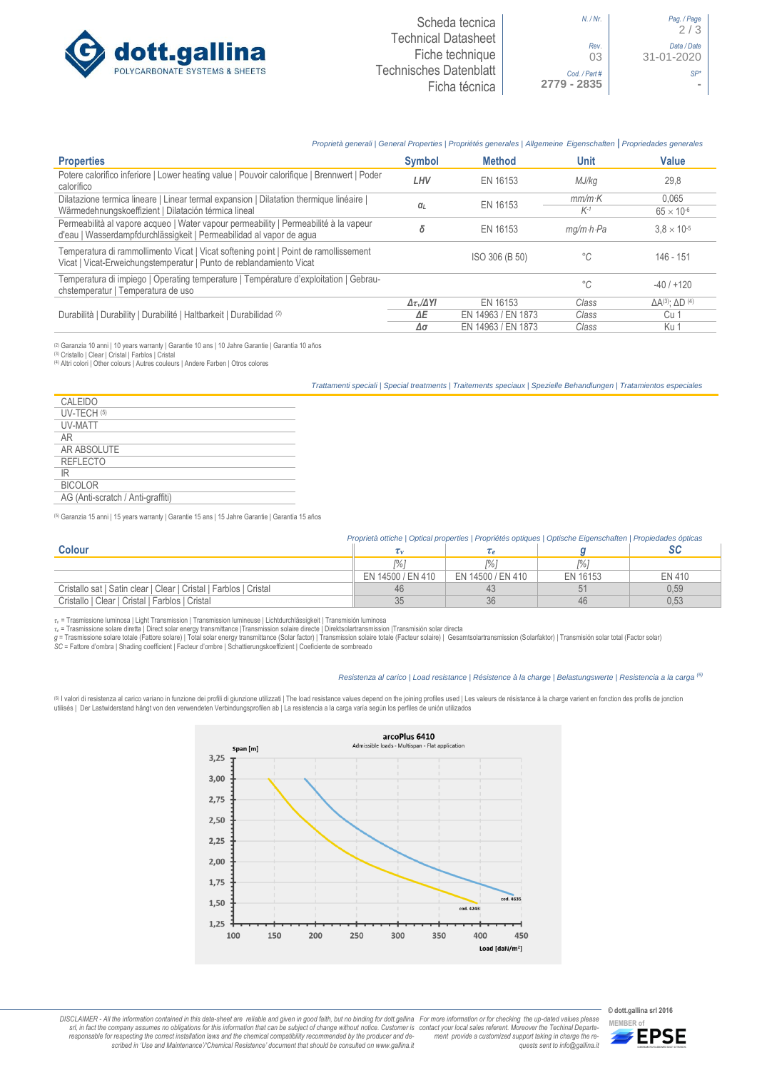

## *Proprietà generali | General Properties | Propriétés generales | Allgemeine Eigenschaften* **|** *Propriedades generales*

| <b>Properties</b>                                                                                                                                           | <b>Symbol</b>                | <b>Method</b>      | Unit                    | Value                               |
|-------------------------------------------------------------------------------------------------------------------------------------------------------------|------------------------------|--------------------|-------------------------|-------------------------------------|
| Potere calorifico inferiore   Lower heating value   Pouvoir calorifique   Brennwert   Poder<br>calorífico                                                   | LHV                          | EN 16153           | MJ/kg                   | 29,8                                |
| Dilatazione termica lineare   Linear termal expansion   Dilatation thermique linéaire                                                                       |                              |                    | $mm/m\cdot K$           | 0.065                               |
| Wärmedehnungskoeffizient   Dilatación térmica lineal                                                                                                        | $\alpha$                     | EN 16153           | $K-1$                   | $65 \times 10^{-6}$                 |
| Permeabilità al vapore acqueo   Water vapour permeability   Permeabilité à la vapeur<br>d'eau   Wasserdampfdurchlässigkeit   Permeabilidad al vapor de agua | δ                            | EN 16153           | $mq/m \cdot h \cdot Pa$ | $3.8 \times 10^{-5}$                |
| Temperatura di rammollimento Vicat   Vicat softening point   Point de ramollissement<br>Vicat   Vicat-Erweichungstemperatur   Punto de reblandamiento Vicat |                              | ISO 306 (B 50)     | $^{\circ}C$             | 146 - 151                           |
| Temperatura di impiego   Operating temperature   Température d'exploitation   Gebrau-<br>chstemperatur   Temperatura de uso                                 |                              |                    | $^{\circ}C$             | $-40/+120$                          |
| Durabilità   Durability   Durabilité   Haltbarkeit   Durabilidad (2)                                                                                        | $\Delta \tau_v / \Delta Y I$ | EN 16153           | Class                   | $\Delta A^{(3)}$ : $\Delta D^{(4)}$ |
|                                                                                                                                                             | ΔE                           | EN 14963 / EN 1873 | Class                   | Cu 1                                |
|                                                                                                                                                             | Δσ                           | EN 14963 / EN 1873 | Class                   | Ku 1                                |

(2) Garanzia 10 anni | 10 years warranty | Garantie 10 ans | 10 Jahre Garantie | Garantía 10 años (3) Cristallo | Clear | Cristal | Farblos | Cristal

(4) Altri colori | Other colours | Autres couleurs | Andere Farben | Otros colores

*Trattamenti speciali | Special treatments | Traitements speciaux | Spezielle Behandlungen | Tratamientos especiales*

| CALEIDO                           |  |
|-----------------------------------|--|
| UV-TECH (5)                       |  |
| UV-MATT                           |  |
| AR                                |  |
| AR ABSOLUTE                       |  |
| <b>REFLECTO</b>                   |  |
| IR                                |  |
| <b>BICOLOR</b>                    |  |
| AG (Anti-scratch / Anti-graffiti) |  |
|                                   |  |

(5) Garanzia 15 anni | 15 years warranty | Garantie 15 ans | 15 Jahre Garantie | Garantía 15 años

| Proprietà ottiche   Optical properties   Propriétés optiques   Optische Eigenschaften   Propiedades ópticas |                   |                   |          |               |
|-------------------------------------------------------------------------------------------------------------|-------------------|-------------------|----------|---------------|
| <b>Colour</b>                                                                                               |                   |                   |          |               |
|                                                                                                             | %1                |                   | l%i      |               |
|                                                                                                             | EN 14500 / EN 410 | EN 14500 / EN 410 | EN 16153 | <b>EN 410</b> |
| Cristallo sat I Satin clear   Clear   Cristal   Farblos   Cristal                                           |                   |                   |          | 0,59          |
| Cristallo   Clear   Cristal   Farblos   Cristal                                                             |                   |                   | 46       | 0,53          |

*τ<sup>v</sup>* = Trasmissione luminosa | Light Transmission | Transmission lumineuse | Lichtdurchlässigkeit | Transmisión luminosa

r∈ = Trasmissione solare diretta | Direct solar energy transmittance |Transmission solaire directe | Direktsolartransmission |Transmisión solar directa<br>g = Trasmissione solare totale (Fattore solare) | Total solar energy

*SC* = Fattore d'ombra | Shading coefficient | Facteur d'ombre | Schattierungskoeffizient | Coeficiente de sombreado

#### *Resistenza al carico | Load resistance | Résistence à la charge | Belastungswerte | Resistencia a la carga (6)*

® I valori di resistenza al carico variano in funzione dei profili di giunzione utilizzati | The load resistance values depend on the joining profiles used | Les valeurs de résistance à la charge varient en fonction des p utilisés | Der Lastwiderstand hängt von den verwendeten Verbindungsprofilen ab | La resistencia a la carga varía según los perfiles de unión utilizados



DISCLAIMER - All the information contained in this data-sheet are reliable and given in good faith, but no binding for dott.gallina For more information or for checking the up-dated values please<br>-srl, in fact the company -responsable for respecting the correct installation laws and the chemical compatibility recommended by the producer and de-<br>scribed in 'Use and Maintenance'/\*Chemical Resistence' document that should be consulted on www.g *ment provide a customized support taking in charge the re-quests sent to info@gallina.it*